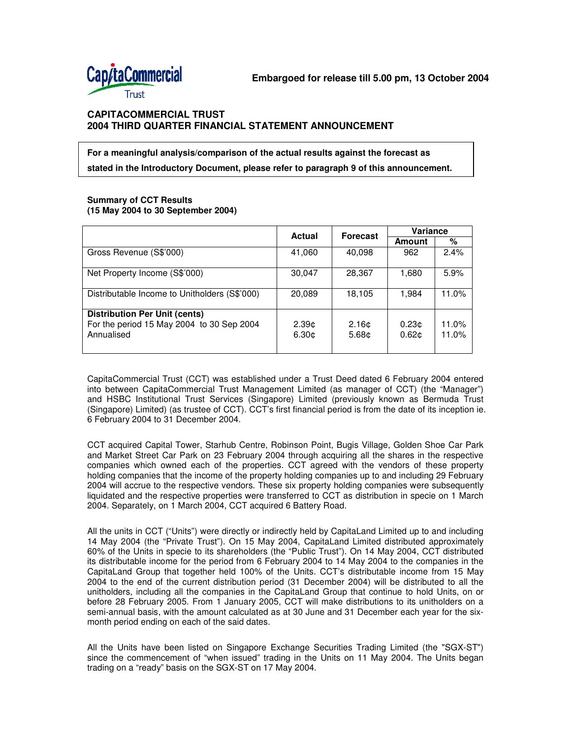

# **For a meaningful analysis/comparison of the actual results against the forecast as stated in the Introductory Document, please refer to paragraph 9 of this announcement.**

### **Summary of CCT Results (15 May 2004 to 30 September 2004)**

|                                                                                                 | <b>Actual</b>                          | <b>Forecast</b>                        | Variance                               |                |
|-------------------------------------------------------------------------------------------------|----------------------------------------|----------------------------------------|----------------------------------------|----------------|
|                                                                                                 |                                        |                                        | Amount                                 | %              |
| Gross Revenue (S\$'000)                                                                         | 41,060                                 | 40,098                                 | 962                                    | 2.4%           |
| Net Property Income (S\$'000)                                                                   | 30,047                                 | 28,367                                 | 1,680                                  | 5.9%           |
| Distributable Income to Unitholders (S\$'000)                                                   | 20,089                                 | 18,105                                 | 1,984                                  | 11.0%          |
| <b>Distribution Per Unit (cents)</b><br>For the period 15 May 2004 to 30 Sep 2004<br>Annualised | 2.39 <sub>0</sub><br>6.30 <sub>¢</sub> | 2.16 <sub>0</sub><br>5.68 <sub>¢</sub> | 0.23 <sub>0</sub><br>0.62 <sub>0</sub> | 11.0%<br>11.0% |

CapitaCommercial Trust (CCT) was established under a Trust Deed dated 6 February 2004 entered into between CapitaCommercial Trust Management Limited (as manager of CCT) (the "Manager") and HSBC Institutional Trust Services (Singapore) Limited (previously known as Bermuda Trust (Singapore) Limited) (as trustee of CCT). CCT's first financial period is from the date of its inception ie. 6 February 2004 to 31 December 2004.

CCT acquired Capital Tower, Starhub Centre, Robinson Point, Bugis Village, Golden Shoe Car Park and Market Street Car Park on 23 February 2004 through acquiring all the shares in the respective companies which owned each of the properties. CCT agreed with the vendors of these property holding companies that the income of the property holding companies up to and including 29 February 2004 will accrue to the respective vendors. These six property holding companies were subsequently liquidated and the respective properties were transferred to CCT as distribution in specie on 1 March 2004. Separately, on 1 March 2004, CCT acquired 6 Battery Road.

All the units in CCT ("Units") were directly or indirectly held by CapitaLand Limited up to and including 14 May 2004 (the "Private Trust"). On 15 May 2004, CapitaLand Limited distributed approximately 60% of the Units in specie to its shareholders (the "Public Trust"). On 14 May 2004, CCT distributed its distributable income for the period from 6 February 2004 to 14 May 2004 to the companies in the CapitaLand Group that together held 100% of the Units. CCT's distributable income from 15 May 2004 to the end of the current distribution period (31 December 2004) will be distributed to all the unitholders, including all the companies in the CapitaLand Group that continue to hold Units, on or before 28 February 2005. From 1 January 2005, CCT will make distributions to its unitholders on a semi-annual basis, with the amount calculated as at 30 June and 31 December each year for the sixmonth period ending on each of the said dates.

All the Units have been listed on Singapore Exchange Securities Trading Limited (the "SGX-ST") since the commencement of "when issued" trading in the Units on 11 May 2004. The Units began trading on a "ready" basis on the SGX-ST on 17 May 2004.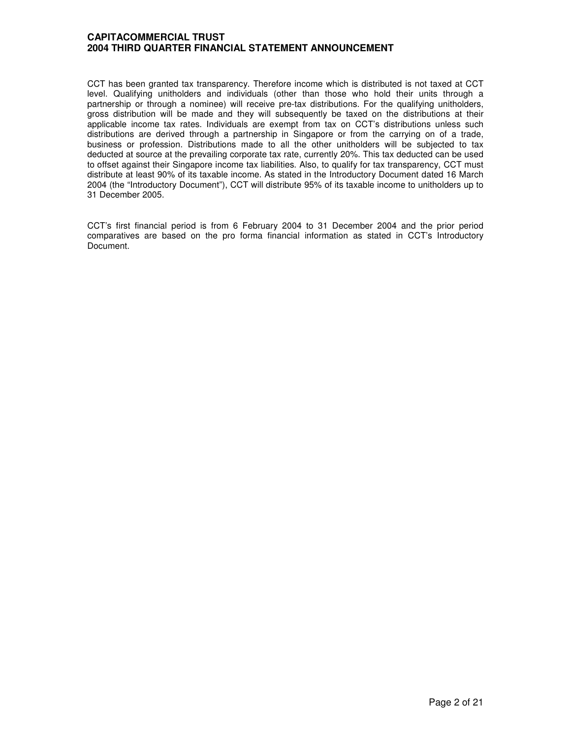CCT has been granted tax transparency. Therefore income which is distributed is not taxed at CCT level. Qualifying unitholders and individuals (other than those who hold their units through a partnership or through a nominee) will receive pre-tax distributions. For the qualifying unitholders, gross distribution will be made and they will subsequently be taxed on the distributions at their applicable income tax rates. Individuals are exempt from tax on CCT's distributions unless such distributions are derived through a partnership in Singapore or from the carrying on of a trade, business or profession. Distributions made to all the other unitholders will be subjected to tax deducted at source at the prevailing corporate tax rate, currently 20%. This tax deducted can be used to offset against their Singapore income tax liabilities. Also, to qualify for tax transparency, CCT must distribute at least 90% of its taxable income. As stated in the Introductory Document dated 16 March 2004 (the "Introductory Document"), CCT will distribute 95% of its taxable income to unitholders up to 31 December 2005.

CCT's first financial period is from 6 February 2004 to 31 December 2004 and the prior period comparatives are based on the pro forma financial information as stated in CCT's Introductory Document.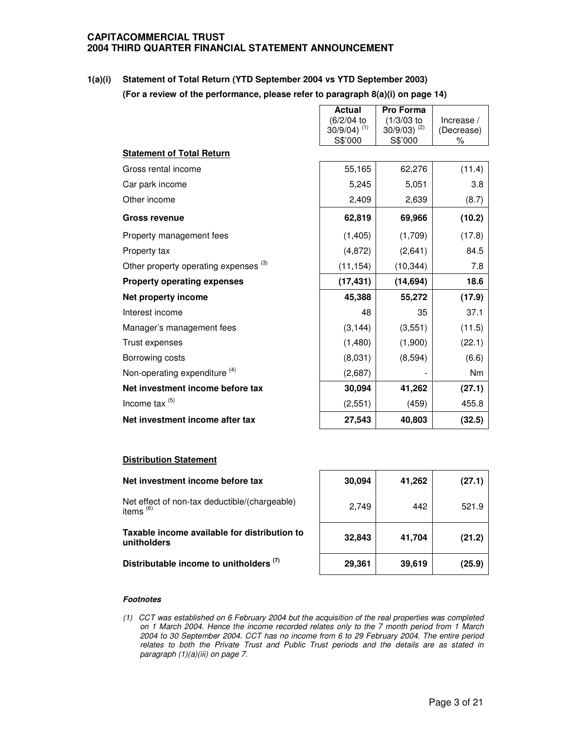**1(a)(i) Statement of Total Return (YTD September 2004 vs YTD September 2003) (For a review of the performance, please refer to paragraph 8(a)(i) on page 14)**

|                                                  | <b>Actual</b>                            | <b>Pro Forma</b>           |                 |
|--------------------------------------------------|------------------------------------------|----------------------------|-----------------|
|                                                  | (6/2/04 to<br>$30/9/04$ ) <sup>(1)</sup> | $(1/3/03)$ to              | Increase $/$    |
|                                                  | S\$'000                                  | $30/9/03$ ) (2)<br>S\$'000 | (Decrease)<br>℅ |
| <b>Statement of Total Return</b>                 |                                          |                            |                 |
| Gross rental income                              | 55,165                                   | 62,276                     | (11.4)          |
| Car park income                                  | 5,245                                    | 5,051                      | 3.8             |
| Other income                                     | 2,409                                    | 2,639                      | (8.7)           |
| <b>Gross revenue</b>                             | 62,819                                   | 69,966                     | (10.2)          |
| Property management fees                         | (1, 405)                                 | (1,709)                    | (17.8)          |
| Property tax                                     | (4, 872)                                 | (2,641)                    | 84.5            |
| Other property operating expenses <sup>(3)</sup> | (11, 154)                                | (10, 344)                  | 7.8             |
| <b>Property operating expenses</b>               | (17, 431)                                | (14, 694)                  | 18.6            |
| Net property income                              | 45,388                                   | 55,272                     | (17.9)          |
| Interest income                                  | 48                                       | 35                         | 37.1            |
| Manager's management fees                        | (3, 144)                                 | (3,551)                    | (11.5)          |
| Trust expenses                                   | (1,480)                                  | (1,900)                    | (22.1)          |
| Borrowing costs                                  | (8,031)                                  | (8,594)                    | (6.6)           |
| Non-operating expenditure <sup>(4)</sup>         | (2,687)                                  |                            | <b>Nm</b>       |
| Net investment income before tax                 | 30,094                                   | 41,262                     | (27.1)          |
| Income tax <sup>(5)</sup>                        | (2, 551)                                 | (459)                      | 455.8           |
| Net investment income after tax                  | 27,543                                   | 40,803                     | (32.5)          |

## **Distribution Statement**

| Net investment income before tax                             | 30,094 | 41,262 | (27.1) |
|--------------------------------------------------------------|--------|--------|--------|
| Net effect of non-tax deductible/(chargeable)<br>items $(6)$ | 2.749  | 442    | 521.9  |
| Taxable income available for distribution to<br>unitholders  | 32,843 | 41,704 | (21.2) |
| Distributable income to unitholders <sup>(7)</sup>           | 29,361 | 39,619 | (25.9) |

### *Footnotes*

*(1) CCT was established on 6 February 2004 but the acquisition of the real properties was completed on 1 March 2004. Hence the income recorded relates only to the 7 month period from 1 March 2004 to 30 September 2004. CCT has no income from 6 to 29 February 2004. The entire period relates to both the Private Trust and Public Trust periods and the details are as stated in paragraph (1)(a)(iii) on page 7.*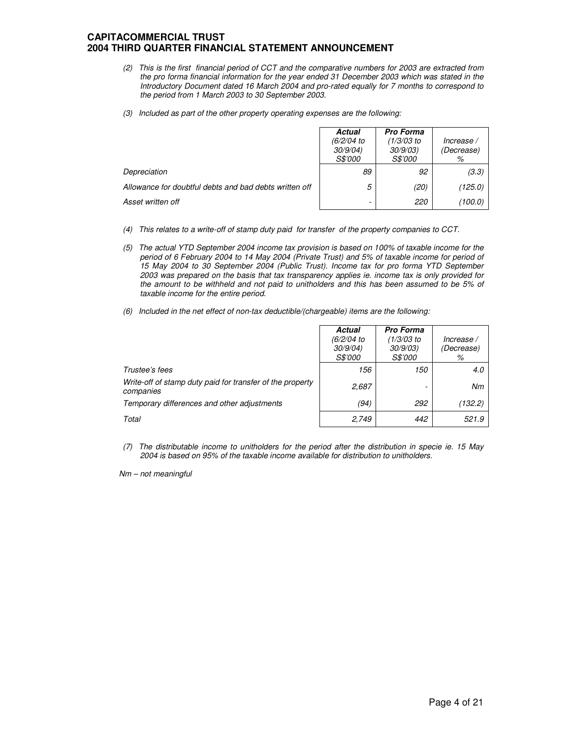- (2) This is the first financial period of CCT and the comparative numbers for 2003 are extracted from *the pro forma financial information for the year ended 31 December 2003 which was stated in the Introductory Document dated 16 March 2004 and pro-rated equally for 7 months to correspond to the period from 1 March 2003 to 30 September 2003.*
- *(3) Included as part of the other property operating expenses are the following:*

|                                                        | Actual<br>(6/2/04 to<br>30/9/04<br><i>S\$'000</i> | <b>Pro Forma</b><br>(1/3/03 to<br>30/9/03)<br><i>S\$'000</i> | Increase /<br>(Decrease)<br>% |
|--------------------------------------------------------|---------------------------------------------------|--------------------------------------------------------------|-------------------------------|
| Depreciation                                           | 89                                                | 92                                                           | (3.3)                         |
| Allowance for doubtful debts and bad debts written off | 5                                                 | (20)                                                         | (125.0)                       |
| Asset written off                                      | -                                                 | 220                                                          | (100.0)                       |

- *(4) This relates to a write-off of stamp duty paid for transfer of the property companies to CCT.*
- *(5) The actual YTD September 2004 income tax provision is based on 100% of taxable income for the* period of 6 February 2004 to 14 May 2004 (Private Trust) and 5% of taxable income for period of *15 May 2004 to 30 September 2004 (Public Trust). Income tax for pro forma YTD September 2003 was prepared on the basis that tax transparency applies ie. income tax is only provided for the amount to be withheld and not paid to unitholders and this has been assumed to be 5% of taxable income for the entire period.*
- *(6) Included in the net effect of non-tax deductible/(chargeable) items are the following:*

|                                                                        | Actual<br>(6/2/04 to<br>30/9/04<br><i>S\$'000</i> | Pro Forma<br>$(1/3/03)$ to<br>30/9/03<br><i>S\$'000</i> | Increase /<br>(Decrease)<br>% |
|------------------------------------------------------------------------|---------------------------------------------------|---------------------------------------------------------|-------------------------------|
| Trustee's fees                                                         | 156                                               | 150                                                     | 4.0                           |
| Write-off of stamp duty paid for transfer of the property<br>companies | 2,687                                             |                                                         | Nm                            |
| Temporary differences and other adjustments                            | (94)                                              | 292                                                     | (132.2)                       |
| Total                                                                  | 2,749                                             | 442                                                     | 521.9                         |

*(7) The distributable income to unitholders for the period after the distribution in specie ie. 15 May 2004 is based on 95% of the taxable income available for distribution to unitholders.*

*Nm – not meaningful*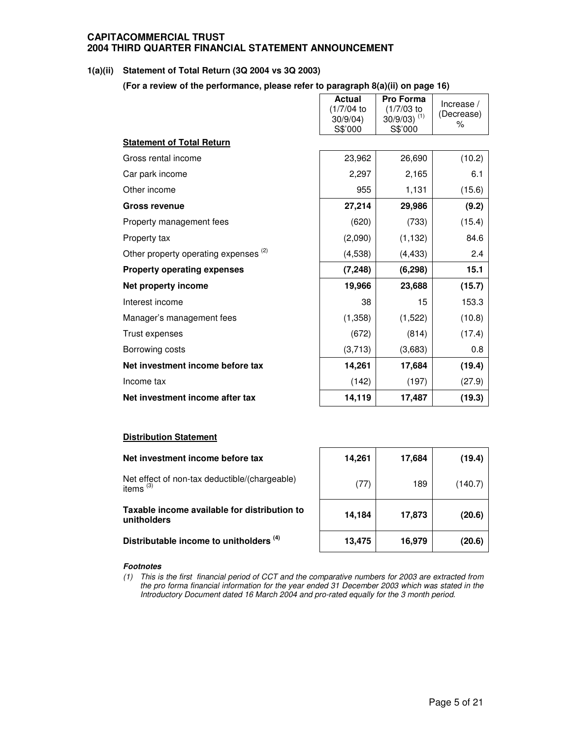## **1(a)(ii) Statement of Total Return (3Q 2004 vs 3Q 2003)**

**(For a review of the performance, please refer to paragraph 8(a)(ii) on page 16)**

|                                                  | <b>Actual</b><br>(1/7/04 to<br>30/9/04<br>S\$'000 | <b>Pro Forma</b><br>(1/7/03 to<br>$30/9/03$ ) <sup>(1)</sup><br>S\$'000 | Increase /<br>(Decrease)<br>% |
|--------------------------------------------------|---------------------------------------------------|-------------------------------------------------------------------------|-------------------------------|
| <b>Statement of Total Return</b>                 |                                                   |                                                                         |                               |
| Gross rental income                              | 23,962                                            | 26,690                                                                  | (10.2)                        |
| Car park income                                  | 2,297                                             | 2,165                                                                   | 6.1                           |
| Other income                                     | 955                                               | 1,131                                                                   | (15.6)                        |
| <b>Gross revenue</b>                             | 27,214                                            | 29,986                                                                  | (9.2)                         |
| Property management fees                         | (620)                                             | (733)                                                                   | (15.4)                        |
| Property tax                                     | (2,090)                                           | (1, 132)                                                                | 84.6                          |
| Other property operating expenses <sup>(2)</sup> | (4,538)                                           | (4, 433)                                                                | 2.4                           |
| <b>Property operating expenses</b>               | (7, 248)                                          | (6, 298)                                                                | 15.1                          |
| Net property income                              | 19,966                                            | 23,688                                                                  | (15.7)                        |
| Interest income                                  | 38                                                | 15                                                                      | 153.3                         |
| Manager's management fees                        | (1,358)                                           | (1,522)                                                                 | (10.8)                        |
| Trust expenses                                   | (672)                                             | (814)                                                                   | (17.4)                        |
| Borrowing costs                                  | (3,713)                                           | (3,683)                                                                 | 0.8                           |
| Net investment income before tax                 | 14,261                                            | 17,684                                                                  | (19.4)                        |
| Income tax                                       | (142)                                             | (197)                                                                   | (27.9)                        |
| Net investment income after tax                  | 14,119                                            | 17,487                                                                  | (19.3)                        |

### **Distribution Statement**

### **Net investment income before tax**

Net effect of non-tax deductible/(chargeable) | <sub>(</sub>77) | 189 | (140.7) items $(3)$ 

**Taxable income available for distribution to unitholders**

**Distributable income to unitholders (4)**

| 14,261 | 17,684 | (19.4)  |
|--------|--------|---------|
| (77)   | 189    | (140.7) |
| 14,184 | 17,873 | (20.6)  |
| 13,475 | 16,979 | (20.6)  |

### *Footnotes*

(1) This is the first financial period of CCT and the comparative numbers for 2003 are extracted from *the pro forma financial information for the year ended 31 December 2003 which was stated in the Introductory Document dated 16 March 2004 and pro-rated equally for the 3 month period.*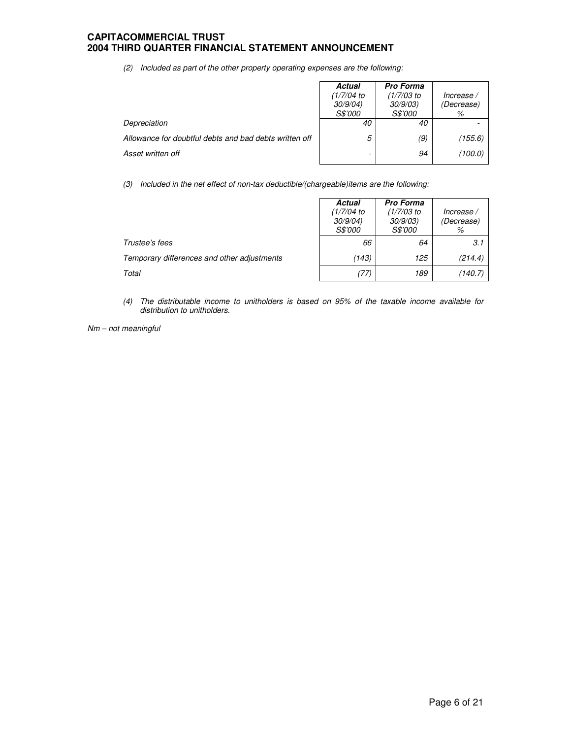*(2) Included as part of the other property operating expenses are the following:*

|                                                        | <b>Actual</b><br>(1/7/04)<br>30/9/04)<br><i>S\$'000</i> | <b>Pro Forma</b><br>(1/7/03 to<br>30/9/03)<br><i>S\$'000</i> | Increase /<br>(Decrease)<br>% |
|--------------------------------------------------------|---------------------------------------------------------|--------------------------------------------------------------|-------------------------------|
| Depreciation                                           | 40                                                      | 40                                                           |                               |
| Allowance for doubtful debts and bad debts written off | 5                                                       | (9)                                                          | (155.6)                       |
| Asset written off                                      | -                                                       | 94                                                           | (100.0)                       |

*(3) Included in the net effect of non-tax deductible/(chargeable)items are the following:*

|                                             | <b>Actual</b><br>(1/7/04 to<br>30/9/04<br><i>S\$'000</i> | <b>Pro Forma</b><br>(1/7/03 to<br>30/9/03<br><i>S\$'000</i> | Increase /<br>(Decrease)<br>% |
|---------------------------------------------|----------------------------------------------------------|-------------------------------------------------------------|-------------------------------|
| Trustee's fees                              | 66                                                       | 64                                                          | 3.1                           |
| Temporary differences and other adjustments | (143)                                                    | 125                                                         | (214.4)                       |
| Total                                       | (77)                                                     | 189                                                         | (140.7)                       |

*(4) The distributable income to unitholders is based on 95% of the taxable income available for distribution to unitholders.*

*Nm – not meaningful*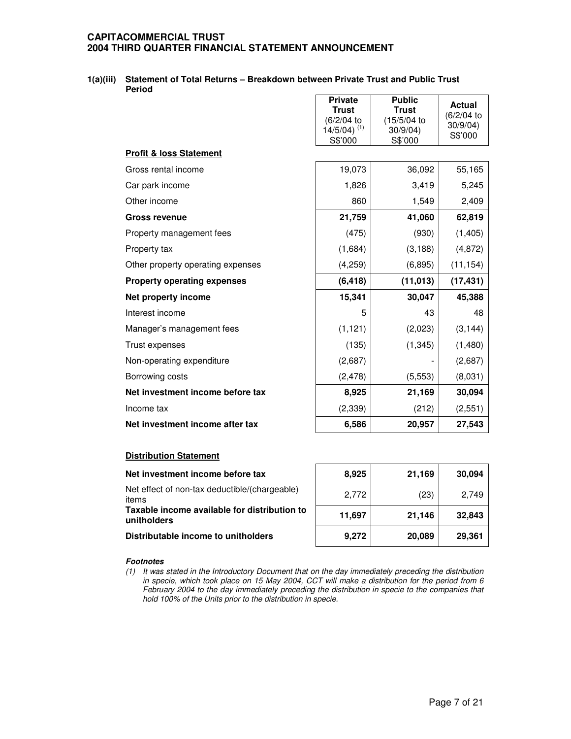### **1(a)(iii) Statement of Total Returns – Breakdown between Private Trust and Public Trust Period**

|                                    | <b>Private</b><br><b>Trust</b><br>(6/2/04 to<br>$14/5/04$ ) <sup>(1)</sup><br>S\$'000 | <b>Public</b><br><b>Trust</b><br>(15/5/04 to<br>30/9/04<br>S\$'000 | <b>Actual</b><br>(6/2/04 to<br>30/9/04<br>S\$'000 |
|------------------------------------|---------------------------------------------------------------------------------------|--------------------------------------------------------------------|---------------------------------------------------|
| <b>Profit &amp; loss Statement</b> |                                                                                       |                                                                    |                                                   |
| Gross rental income                | 19,073                                                                                | 36,092                                                             | 55,165                                            |
| Car park income                    | 1,826                                                                                 | 3,419                                                              | 5,245                                             |
| Other income                       | 860                                                                                   | 1,549                                                              | 2,409                                             |
| <b>Gross revenue</b>               | 21,759                                                                                | 41,060                                                             | 62,819                                            |
| Property management fees           | (475)                                                                                 | (930)                                                              | (1, 405)                                          |
| Property tax                       | (1,684)                                                                               | (3, 188)                                                           | (4, 872)                                          |
| Other property operating expenses  | (4,259)                                                                               | (6, 895)                                                           | (11, 154)                                         |
| <b>Property operating expenses</b> | (6, 418)                                                                              | (11, 013)                                                          | (17, 431)                                         |
| Net property income                | 15,341                                                                                | 30,047                                                             | 45,388                                            |
| Interest income                    | 5                                                                                     | 43                                                                 | 48                                                |
| Manager's management fees          | (1, 121)                                                                              | (2,023)                                                            | (3, 144)                                          |
| Trust expenses                     | (135)                                                                                 | (1, 345)                                                           | (1,480)                                           |
| Non-operating expenditure          | (2,687)                                                                               |                                                                    | (2,687)                                           |
| Borrowing costs                    | (2, 478)                                                                              | (5, 553)                                                           | (8,031)                                           |
| Net investment income before tax   | 8,925                                                                                 | 21,169                                                             | 30,094                                            |
| Income tax                         | (2, 339)                                                                              | (212)                                                              | (2,551)                                           |
| Net investment income after tax    | 6,586                                                                                 | 20,957                                                             | 27,543                                            |

## **Distribution Statement**

| Net investment income before tax                            | 8,925  | 21,169 | 30,094 |
|-------------------------------------------------------------|--------|--------|--------|
| Net effect of non-tax deductible/(chargeable)<br>items      | 2,772  | (23)   | 2.749  |
| Taxable income available for distribution to<br>unitholders | 11,697 | 21,146 | 32,843 |
| Distributable income to unitholders                         | 9,272  | 20,089 | 29,361 |
|                                                             |        |        |        |

### *Footnotes*

*(1) It was stated in the Introductory Document that on the day immediately preceding the distribution* in specie, which took place on 15 May 2004, CCT will make a distribution for the period from 6 *February 2004 to the day immediately preceding the distribution in specie to the companies that hold 100% of the Units prior to the distribution in specie.*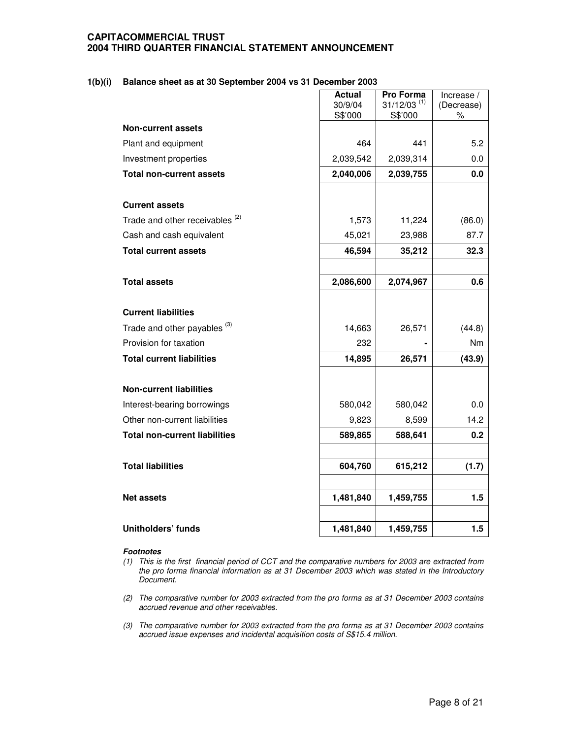### **1(b)(i) Balance sheet as at 30 September 2004 vs 31 December 2003**

|                                            | <b>Actual</b> | Pro Forma                 | Increase / |
|--------------------------------------------|---------------|---------------------------|------------|
|                                            | 30/9/04       | $31/12/03$ <sup>(1)</sup> | (Decrease) |
|                                            | S\$'000       | S\$'000                   | $\%$       |
| <b>Non-current assets</b>                  |               |                           |            |
| Plant and equipment                        | 464           | 441                       | 5.2        |
| Investment properties                      | 2,039,542     | 2,039,314                 | 0.0        |
| <b>Total non-current assets</b>            | 2,040,006     | 2,039,755                 | 0.0        |
|                                            |               |                           |            |
| <b>Current assets</b>                      |               |                           |            |
| Trade and other receivables <sup>(2)</sup> | 1,573         | 11,224                    | (86.0)     |
| Cash and cash equivalent                   | 45,021        | 23,988                    | 87.7       |
| <b>Total current assets</b>                | 46,594        | 35,212                    | 32.3       |
|                                            |               |                           |            |
| <b>Total assets</b>                        | 2,086,600     | 2,074,967                 | 0.6        |
|                                            |               |                           |            |
| <b>Current liabilities</b>                 |               |                           |            |
| Trade and other payables <sup>(3)</sup>    | 14,663        | 26,571                    | (44.8)     |
| Provision for taxation                     | 232           |                           | Nm         |
| <b>Total current liabilities</b>           | 14,895        | 26,571                    | (43.9)     |
|                                            |               |                           |            |
| <b>Non-current liabilities</b>             |               |                           |            |
| Interest-bearing borrowings                | 580,042       | 580,042                   | 0.0        |
| Other non-current liabilities              | 9,823         | 8,599                     | 14.2       |
| <b>Total non-current liabilities</b>       | 589,865       | 588,641                   | 0.2        |
|                                            |               |                           |            |
| <b>Total liabilities</b>                   | 604,760       | 615,212                   | (1.7)      |
|                                            |               |                           |            |
| <b>Net assets</b>                          | 1,481,840     | 1,459,755                 | 1.5        |
|                                            |               |                           |            |
| <b>Unitholders' funds</b>                  | 1,481,840     | 1,459,755                 | 1.5        |

- (1) This is the first financial period of CCT and the comparative numbers for 2003 are extracted from *the pro forma financial information as at 31 December 2003 which was stated in the Introductory Document.*
- *(2) The comparative number for 2003 extracted from the pro forma as at 31 December 2003 contains accrued revenue and other receivables.*
- *(3) The comparative number for 2003 extracted from the pro forma as at 31 December 2003 contains accrued issue expenses and incidental acquisition costs of S\$15.4 million.*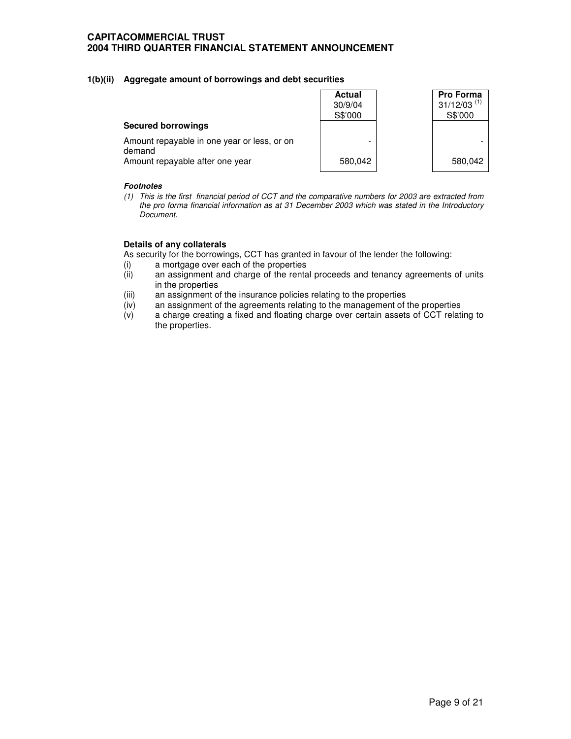## **1(b)(ii) Aggregate amount of borrowings and debt securities**

|                                                       | <b>Actual</b><br>30/9/04<br>S\$'000 | Pro Forma<br>$31/12/03$ <sup>(1)</sup><br>S\$'000 |
|-------------------------------------------------------|-------------------------------------|---------------------------------------------------|
| <b>Secured borrowings</b>                             |                                     |                                                   |
| Amount repayable in one year or less, or on<br>demand | -                                   |                                                   |
| Amount repayable after one year                       | 580.042                             | 580,042                                           |

### *Footnotes*

(1) This is the first financial period of CCT and the comparative numbers for 2003 are extracted from *the pro forma financial information as at 31 December 2003 which was stated in the Introductory Document.*

## **Details of any collaterals**

As security for the borrowings, CCT has granted in favour of the lender the following:

- (i) a mortgage over each of the properties<br>(ii) an assignment and charge of the renta
- an assignment and charge of the rental proceeds and tenancy agreements of units in the properties
- (iii) an assignment of the insurance policies relating to the properties
- (iv) an assignment of the agreements relating to the management of the properties
- (v) a charge creating a fixed and floating charge over certain assets of CCT relating to the properties.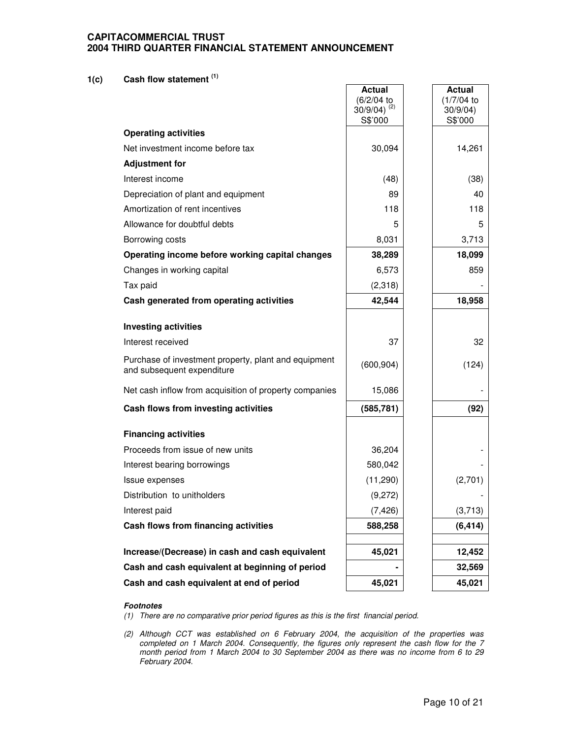# **1(c) Cash flow statement (1)**

|                                                                                    | Actual<br>(6/2/04 to<br>$30/9/04$ ) <sup>(2)</sup><br>S\$'000 | <b>Actual</b><br>(1/7/04)<br>30/9/04)<br>S\$'000 |
|------------------------------------------------------------------------------------|---------------------------------------------------------------|--------------------------------------------------|
| <b>Operating activities</b>                                                        |                                                               |                                                  |
| Net investment income before tax                                                   | 30,094                                                        | 14,261                                           |
| <b>Adjustment for</b>                                                              |                                                               |                                                  |
| Interest income                                                                    | (48)                                                          | (38)                                             |
| Depreciation of plant and equipment                                                | 89                                                            | 40                                               |
| Amortization of rent incentives                                                    | 118                                                           | 118                                              |
| Allowance for doubtful debts                                                       | 5                                                             | 5                                                |
| Borrowing costs                                                                    | 8,031                                                         | 3,713                                            |
| Operating income before working capital changes                                    | 38,289                                                        | 18,099                                           |
| Changes in working capital                                                         | 6,573                                                         | 859                                              |
| Tax paid                                                                           | (2,318)                                                       |                                                  |
| Cash generated from operating activities                                           | 42,544                                                        | 18,958                                           |
| <b>Investing activities</b>                                                        |                                                               |                                                  |
| Interest received                                                                  | 37                                                            | 32                                               |
| Purchase of investment property, plant and equipment<br>and subsequent expenditure | (600, 904)                                                    | (124)                                            |
| Net cash inflow from acquisition of property companies                             | 15,086                                                        |                                                  |
| Cash flows from investing activities                                               | (585, 781)                                                    | (92)                                             |
| <b>Financing activities</b>                                                        |                                                               |                                                  |
| Proceeds from issue of new units                                                   | 36,204                                                        |                                                  |
| Interest bearing borrowings                                                        | 580,042                                                       |                                                  |
| Issue expenses                                                                     | (11, 290)                                                     | (2,701)                                          |
| Distribution to unitholders                                                        | (9,272)                                                       |                                                  |
| Interest paid                                                                      | (7, 426)                                                      | (3,713)                                          |
| Cash flows from financing activities                                               | 588,258                                                       | (6, 414)                                         |
| Increase/(Decrease) in cash and cash equivalent                                    | 45,021                                                        | 12,452                                           |
| Cash and cash equivalent at beginning of period                                    |                                                               | 32,569                                           |
| Cash and cash equivalent at end of period                                          | 45,021                                                        | 45,021                                           |

- *(1) There are no comparative prior period figures as this is the first financial period.*
- *(2) Although CCT was established on 6 February 2004, the acquisition of the properties was completed on 1 March 2004. Consequently, the figures only represent the cash flow for the 7 month period from 1 March 2004 to 30 September 2004 as there was no income from 6 to 29 February 2004.*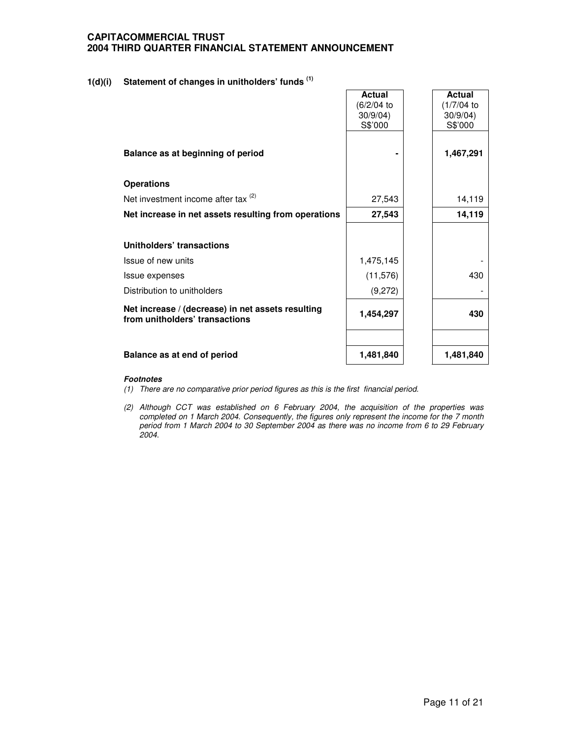# **1(d)(i) Statement of changes in unitholders' funds (1)**

|                                                                                     | <b>Actual</b><br>(6/2/04 to | <b>Actual</b><br>(1/7/04) |
|-------------------------------------------------------------------------------------|-----------------------------|---------------------------|
|                                                                                     | 30/9/04                     | 30/9/04                   |
|                                                                                     | S\$'000                     | S\$'000                   |
|                                                                                     |                             |                           |
| Balance as at beginning of period                                                   |                             | 1,467,291                 |
| <b>Operations</b>                                                                   |                             |                           |
| Net investment income after tax $(2)$                                               | 27,543                      | 14,119                    |
| Net increase in net assets resulting from operations                                | 27,543                      | 14,119                    |
|                                                                                     |                             |                           |
| Unitholders' transactions                                                           |                             |                           |
| Issue of new units                                                                  | 1,475,145                   |                           |
| Issue expenses                                                                      | (11, 576)                   | 430                       |
| Distribution to unitholders                                                         | (9,272)                     |                           |
| Net increase / (decrease) in net assets resulting<br>from unitholders' transactions | 1,454,297                   | 430                       |
|                                                                                     |                             |                           |
| Balance as at end of period                                                         | 1,481,840                   | 1,481,840                 |

- *(1) There are no comparative prior period figures as this is the first financial period.*
- *(2) Although CCT was established on 6 February 2004, the acquisition of the properties was completed on 1 March 2004. Consequently, the figures only represent the income for the 7 month period from 1 March 2004 to 30 September 2004 as there was no income from 6 to 29 February 2004.*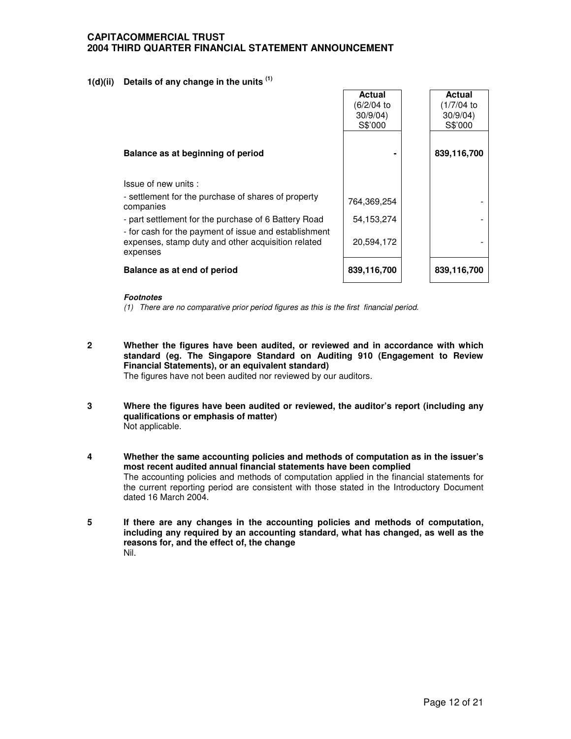# **1(d)(ii) Details of any change in the units (1)**

|                                                                                                                         | <b>Actual</b><br>(6/2/04 to<br>30/9/04<br>S\$'000 | <b>Actual</b><br>(1/7/04 to<br>30/9/04<br>S\$'000 |
|-------------------------------------------------------------------------------------------------------------------------|---------------------------------------------------|---------------------------------------------------|
| Balance as at beginning of period                                                                                       |                                                   | 839,116,700                                       |
| Issue of new units:                                                                                                     |                                                   |                                                   |
| - settlement for the purchase of shares of property<br>companies                                                        | 764,369,254                                       |                                                   |
| - part settlement for the purchase of 6 Battery Road                                                                    | 54,153,274                                        |                                                   |
| - for cash for the payment of issue and establishment<br>expenses, stamp duty and other acquisition related<br>expenses | 20,594,172                                        |                                                   |
| Balance as at end of period                                                                                             | 839,116,700                                       | 839,116,700                                       |

### *Footnotes*

*(1) There are no comparative prior period figures as this is the first financial period.*

**2 Whether the figures have been audited, or reviewed and in accordance with which standard (eg. The Singapore Standard on Auditing 910 (Engagement to Review Financial Statements), or an equivalent standard)**

The figures have not been audited nor reviewed by our auditors.

- **3 Where the figures have been audited or reviewed, the auditor's report (including any qualifications or emphasis of matter)** Not applicable.
- **4 Whether the same accounting policies and methods of computation as in the issuer's most recent audited annual financial statements have been complied** The accounting policies and methods of computation applied in the financial statements for the current reporting period are consistent with those stated in the Introductory Document dated 16 March 2004.
- **5 If there are any changes in the accounting policies and methods of computation, including any required by an accounting standard, what has changed, as well as the reasons for, and the effect of, the change** Nil.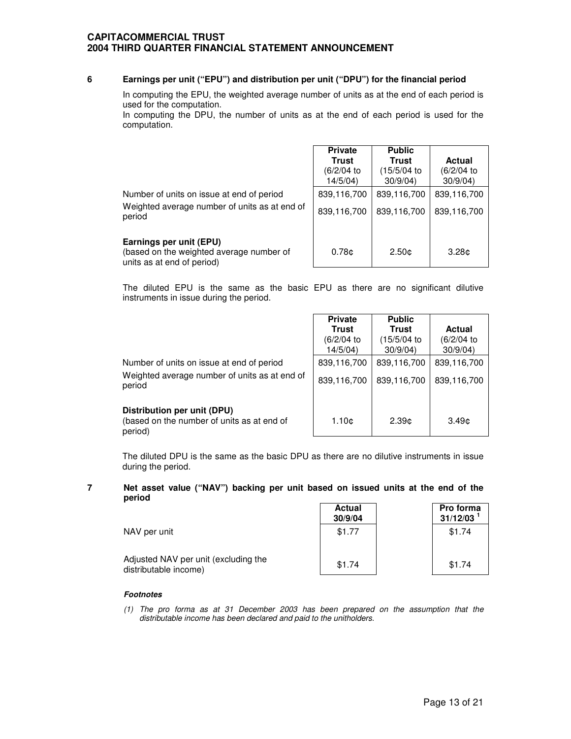### **6 Earnings per unit ("EPU") and distribution per unit ("DPU") for the financial period**

In computing the EPU, the weighted average number of units as at the end of each period is used for the computation.

In computing the DPU, the number of units as at the end of each period is used for the computation.

|                                                                                                      | <b>Private</b><br>Trust<br>(6/2/04 to<br>14/5/04) | <b>Public</b><br>Trust<br>(15/5/04 to<br>30/9/04 | <b>Actual</b><br>(6/2/04 to<br>30/9/04 |
|------------------------------------------------------------------------------------------------------|---------------------------------------------------|--------------------------------------------------|----------------------------------------|
| Number of units on issue at end of period<br>Weighted average number of units as at end of<br>period | 839,116,700<br>839,116,700                        | 839,116,700<br>839,116,700                       | 839,116,700<br>839,116,700             |
| Earnings per unit (EPU)<br>(based on the weighted average number of<br>units as at end of period)    | 0.78 <sub>c</sub>                                 | 2.50 <sub>c</sub>                                | 3.28 <sub>0</sub>                      |

The diluted EPU is the same as the basic EPU as there are no significant dilutive instruments in issue during the period.

|                                                         | <b>Private</b> | <b>Public</b> |               |
|---------------------------------------------------------|----------------|---------------|---------------|
|                                                         | <b>Trust</b>   | <b>Trust</b>  | <b>Actual</b> |
|                                                         | (6/2/04 to     | (15/5/04)     | (6/2/04)      |
|                                                         | 14/5/04        | 30/9/04       | 30/9/04       |
| Number of units on issue at end of period               | 839,116,700    | 839,116,700   | 839,116,700   |
| Weighted average number of units as at end of<br>period | 839,116,700    | 839,116,700   | 839,116,700   |
| Distribution per unit (DPU)                             |                |               |               |

(based on the number of units as at end of period)

The diluted DPU is the same as the basic DPU as there are no dilutive instruments in issue during the period.

 $1.10¢$  2.39¢ 3.49¢

#### **7 Net asset value ("NAV") backing per unit based on issued units at the end of the period**  $\Gamma$ **Actual Pro forma**

|                                                               | Aciudi<br>30/9/04 | <b>PIU IUIIII</b><br>31/12/03 |
|---------------------------------------------------------------|-------------------|-------------------------------|
| NAV per unit                                                  | \$1.77            | \$1.74                        |
| Adjusted NAV per unit (excluding the<br>distributable income) | \$1.74            | \$1.74                        |

### *Footnotes*

*(1) The pro forma as at 31 December 2003 has been prepared on the assumption that the distributable income has been declared and paid to the unitholders.*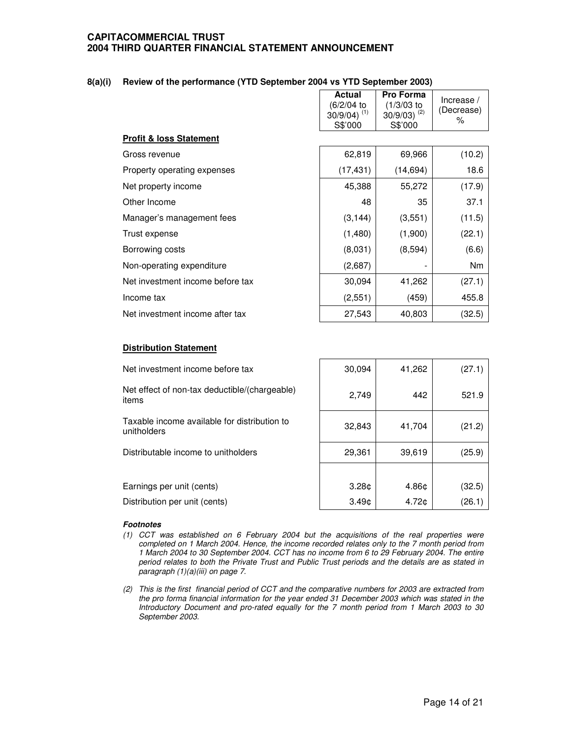| 8(a)(i) Review of the performance (YTD September 2004 vs YTD September 2003) |  |  |  |  |
|------------------------------------------------------------------------------|--|--|--|--|
|                                                                              |  |  |  |  |

|                                  | <b>Actual</b><br>(6/2/04 to<br>$30/9/04$ ) <sup>(1)</sup><br>S\$'000 | Pro Forma<br>$(1/3/03)$ to<br>$30/9/03$ ) (2)<br>S\$'000 | Increase $/$<br>(Decrease)<br>% |
|----------------------------------|----------------------------------------------------------------------|----------------------------------------------------------|---------------------------------|
| Profit & loss Statement          |                                                                      |                                                          |                                 |
| Gross revenue                    | 62,819                                                               | 69,966                                                   | (10.2)                          |
| Property operating expenses      | (17, 431)                                                            | (14, 694)                                                | 18.6                            |
| Net property income              | 45,388                                                               | 55,272                                                   | (17.9)                          |
| Other Income                     | 48                                                                   | 35                                                       | 37.1                            |
| Manager's management fees        | (3, 144)                                                             | (3,551)                                                  | (11.5)                          |
| Trust expense                    | (1,480)                                                              | (1,900)                                                  | (22.1)                          |
| Borrowing costs                  | (8,031)                                                              | (8,594)                                                  | (6.6)                           |
| Non-operating expenditure        | (2,687)                                                              |                                                          | N <sub>m</sub>                  |
| Net investment income before tax | 30,094                                                               | 41,262                                                   | (27.1)                          |
| Income tax                       | (2,551)                                                              | (459)                                                    | 455.8                           |
| Net investment income after tax  | 27,543                                                               | 40,803                                                   | (32.5)                          |

Г

### **Distribution Statement**

Net investment income before tax  $\begin{array}{|c|c|c|c|c|c|c|c|} \hline \end{array}$  30,094 41,262 (27.1) Net effect of non-tax deductible/(chargeable) items 2,749 442 521.9 Taxable income available for distribution to unitholders 32,843 41,704 (21.2) Distributable income to unitholders  $\vert$  29,361 39,619 (25.9) Earnings per unit (cents)  $\vert$  3.28¢ | 4.86¢ | (32.5) Distribution per unit (cents)  $3.49¢$  4.72¢ (26.1)

- *(1) CCT was established on 6 February 2004 but the acquisitions of the real properties were completed on 1 March 2004. Hence, the income recorded relates only to the 7 month period from 1 March 2004 to 30 September 2004. CCT has no income from 6 to 29 February 2004. The entire period relates to both the Private Trust and Public Trust periods and the details are as stated in paragraph (1)(a)(iii) on page 7.*
- (2) This is the first financial period of CCT and the comparative numbers for 2003 are extracted from *the pro forma financial information for the year ended 31 December 2003 which was stated in the Introductory Document and pro-rated equally for the 7 month period from 1 March 2003 to 30 September 2003.*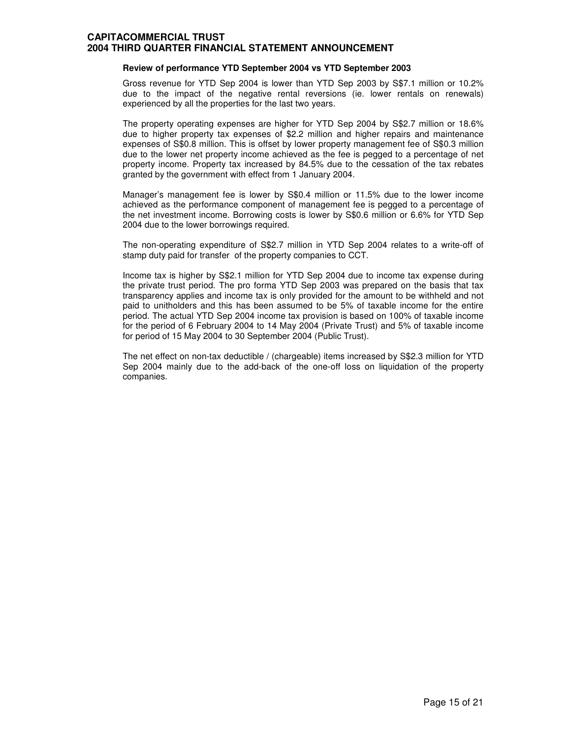### **Review of performance YTD September 2004 vs YTD September 2003**

Gross revenue for YTD Sep 2004 is lower than YTD Sep 2003 by S\$7.1 million or 10.2% due to the impact of the negative rental reversions (ie. lower rentals on renewals) experienced by all the properties for the last two years.

The property operating expenses are higher for YTD Sep 2004 by S\$2.7 million or 18.6% due to higher property tax expenses of \$2.2 million and higher repairs and maintenance expenses of S\$0.8 million. This is offset by lower property management fee of S\$0.3 million due to the lower net property income achieved as the fee is pegged to a percentage of net property income. Property tax increased by 84.5% due to the cessation of the tax rebates granted by the government with effect from 1 January 2004.

Manager's management fee is lower by S\$0.4 million or 11.5% due to the lower income achieved as the performance component of management fee is pegged to a percentage of the net investment income. Borrowing costs is lower by S\$0.6 million or 6.6% for YTD Sep 2004 due to the lower borrowings required.

The non-operating expenditure of S\$2.7 million in YTD Sep 2004 relates to a write-off of stamp duty paid for transfer of the property companies to CCT.

Income tax is higher by S\$2.1 million for YTD Sep 2004 due to income tax expense during the private trust period. The pro forma YTD Sep 2003 was prepared on the basis that tax transparency applies and income tax is only provided for the amount to be withheld and not paid to unitholders and this has been assumed to be 5% of taxable income for the entire period. The actual YTD Sep 2004 income tax provision is based on 100% of taxable income for the period of 6 February 2004 to 14 May 2004 (Private Trust) and 5% of taxable income for period of 15 May 2004 to 30 September 2004 (Public Trust).

The net effect on non-tax deductible / (chargeable) items increased by S\$2.3 million for YTD Sep 2004 mainly due to the add-back of the one-off loss on liquidation of the property companies.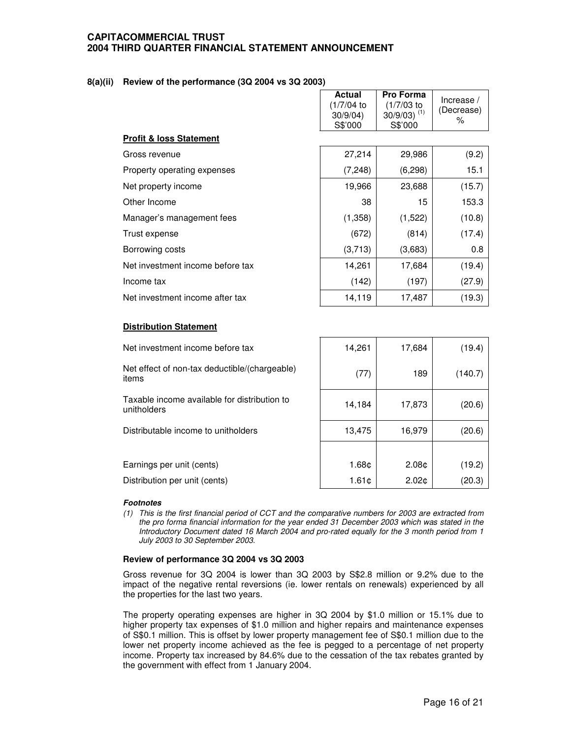### **8(a)(ii) Review of the performance (3Q 2004 vs 3Q 2003)**

|                                    | <b>Actual</b><br>(1/7/04 to<br>30/9/04)<br>S\$'000 | <b>Pro Forma</b><br>(1/7/03 to<br>$30/9/03$ ) <sup>(1)</sup><br>S\$'000 | Increase $/$<br>(Decrease)<br>% |
|------------------------------------|----------------------------------------------------|-------------------------------------------------------------------------|---------------------------------|
| <b>Profit &amp; loss Statement</b> |                                                    |                                                                         |                                 |
| Gross revenue                      | 27,214                                             | 29,986                                                                  | (9.2)                           |
| Property operating expenses        | (7, 248)                                           | (6, 298)                                                                | 15.1                            |
| Net property income                | 19,966                                             | 23,688                                                                  | (15.7)                          |
| Other Income                       | 38                                                 | 15                                                                      | 153.3                           |
| Manager's management fees          | (1,358)                                            | (1,522)                                                                 | (10.8)                          |
| Trust expense                      | (672)                                              | (814)                                                                   | (17.4)                          |
| Borrowing costs                    | (3,713)                                            | (3,683)                                                                 | 0.8                             |
| Net investment income before tax   | 14,261                                             | 17,684                                                                  | (19.4)                          |
| Income tax                         | (142)                                              | (197)                                                                   | (27.9)                          |
| Net investment income after tax    | 14,119                                             | 17,487                                                                  | (19.3)                          |

### **Distribution Statement**

| Net investment income before tax                            | 14,261            | 17,684            | (19.4)  |
|-------------------------------------------------------------|-------------------|-------------------|---------|
| Net effect of non-tax deductible/(chargeable)<br>items      | (77)              | 189               | (140.7) |
| Taxable income available for distribution to<br>unitholders | 14,184            | 17,873            | (20.6)  |
| Distributable income to unitholders                         | 13,475            | 16,979            | (20.6)  |
|                                                             |                   |                   |         |
| Earnings per unit (cents)                                   | 1.68 <sub>¢</sub> | 2.08 <sub>¢</sub> | (19.2)  |
| Distribution per unit (cents)                               | 1.61c             | 2.02 <sub>0</sub> | (20.3)  |

### *Footnotes*

(1) This is the first financial period of CCT and the comparative numbers for 2003 are extracted from *the pro forma financial information for the year ended 31 December 2003 which was stated in the Introductory Document dated 16 March 2004 and pro-rated equally for the 3 month period from 1 July 2003 to 30 September 2003.*

### **Review of performance 3Q 2004 vs 3Q 2003**

Gross revenue for 3Q 2004 is lower than 3Q 2003 by S\$2.8 million or 9.2% due to the impact of the negative rental reversions (ie. lower rentals on renewals) experienced by all the properties for the last two years.

The property operating expenses are higher in 3Q 2004 by \$1.0 million or 15.1% due to higher property tax expenses of \$1.0 million and higher repairs and maintenance expenses of S\$0.1 million. This is offset by lower property management fee of S\$0.1 million due to the lower net property income achieved as the fee is pegged to a percentage of net property income. Property tax increased by 84.6% due to the cessation of the tax rebates granted by the government with effect from 1 January 2004.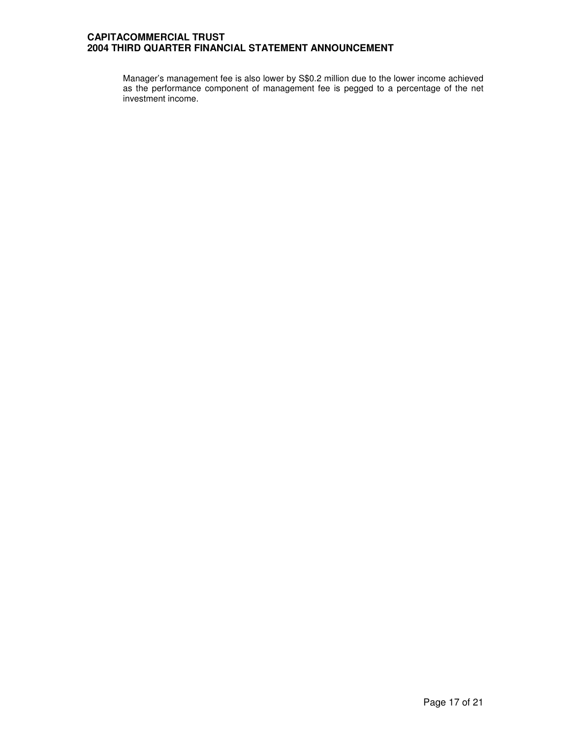Manager's management fee is also lower by S\$0.2 million due to the lower income achieved as the performance component of management fee is pegged to a percentage of the net investment income.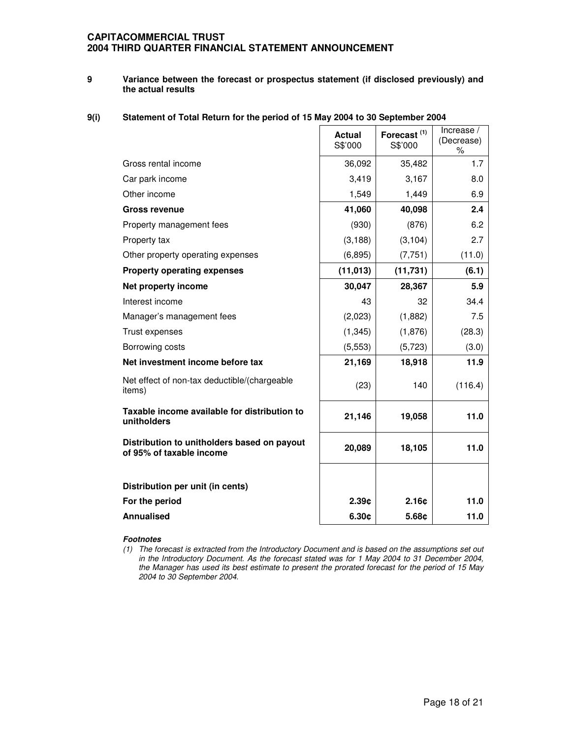### **9 Variance between the forecast or prospectus statement (if disclosed previously) and the actual results**

# **9(i) Statement of Total Return for the period of 15 May 2004 to 30 September 2004**

|                                                                         | <b>Actual</b><br>S\$'000 | Forecast <sup>(1)</sup><br>S\$'000 | Increase /<br>(Decrease)<br>% |
|-------------------------------------------------------------------------|--------------------------|------------------------------------|-------------------------------|
| Gross rental income                                                     | 36,092                   | 35,482                             | 1.7                           |
| Car park income                                                         | 3,419                    | 3,167                              | 8.0                           |
| Other income                                                            | 1,549                    | 1,449                              | 6.9                           |
| <b>Gross revenue</b>                                                    | 41,060                   | 40,098                             | 2.4                           |
| Property management fees                                                | (930)                    | (876)                              | 6.2                           |
| Property tax                                                            | (3, 188)                 | (3, 104)                           | 2.7                           |
| Other property operating expenses                                       | (6, 895)                 | (7, 751)                           | (11.0)                        |
| <b>Property operating expenses</b>                                      | (11, 013)                | (11, 731)                          | (6.1)                         |
| Net property income                                                     | 30,047                   | 28,367                             | 5.9                           |
| Interest income                                                         | 43                       | 32                                 | 34.4                          |
| Manager's management fees                                               | (2,023)                  | (1,882)                            | 7.5                           |
| Trust expenses                                                          | (1, 345)                 | (1,876)                            | (28.3)                        |
| Borrowing costs                                                         | (5, 553)                 | (5,723)                            | (3.0)                         |
| Net investment income before tax                                        | 21,169                   | 18,918                             | 11.9                          |
| Net effect of non-tax deductible/(chargeable<br>items)                  | (23)                     | 140                                | (116.4)                       |
| Taxable income available for distribution to<br>unitholders             | 21,146                   | 19,058                             | 11.0                          |
| Distribution to unitholders based on payout<br>of 95% of taxable income | 20,089                   | 18,105                             | 11.0                          |
|                                                                         |                          |                                    |                               |
| Distribution per unit (in cents)                                        |                          |                                    |                               |
| For the period                                                          | 2.39c                    | 2.16c                              | 11.0                          |
| <b>Annualised</b>                                                       | 6.30c                    | 5.68c                              | 11.0                          |

*<sup>(1)</sup> The forecast is extracted from the Introductory Document and is based on the assumptions set out in the Introductory Document. As the forecast stated was for 1 May 2004 to 31 December 2004, the Manager has used its best estimate to present the prorated forecast for the period of 15 May 2004 to 30 September 2004.*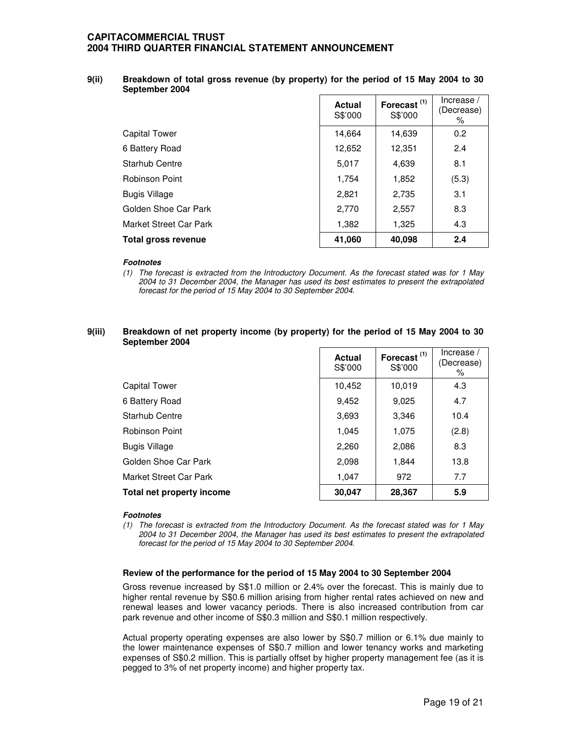### **9(ii) Breakdown of total gross revenue (by property) for the period of 15 May 2004 to 30 September 2004**

|                        | <b>Actual</b><br>S\$'000 | Forecast <sup>(1)</sup><br>S\$'000 | Increase /<br>(Decrease)<br>% |
|------------------------|--------------------------|------------------------------------|-------------------------------|
| Capital Tower          | 14,664                   | 14,639                             | 0.2                           |
| 6 Battery Road         | 12,652                   | 12,351                             | 2.4                           |
| <b>Starhub Centre</b>  | 5,017                    | 4,639                              | 8.1                           |
| <b>Robinson Point</b>  | 1,754                    | 1,852                              | (5.3)                         |
| <b>Bugis Village</b>   | 2,821                    | 2,735                              | 3.1                           |
| Golden Shoe Car Park   | 2,770                    | 2,557                              | 8.3                           |
| Market Street Car Park | 1,382                    | 1,325                              | 4.3                           |
| Total gross revenue    | 41,060                   | 40,098                             | 2.4                           |

### *Footnotes*

*(1) The forecast is extracted from the Introductory Document. As the forecast stated was for 1 May 2004 to 31 December 2004, the Manager has used its best estimates to present the extrapolated forecast for the period of 15 May 2004 to 30 September 2004.*

### **9(iii) Breakdown of net property income (by property) for the period of 15 May 2004 to 30 September 2004**

|                           | <b>Actual</b><br>S\$'000 | Forecast <sup>(1)</sup><br>S\$'000 | Increase /<br>(Decrease)<br>% |
|---------------------------|--------------------------|------------------------------------|-------------------------------|
| <b>Capital Tower</b>      | 10,452                   | 10,019                             | 4.3                           |
| 6 Battery Road            | 9,452                    | 9,025                              | 4.7                           |
| Starhub Centre            | 3,693                    | 3,346                              | 10.4                          |
| <b>Robinson Point</b>     | 1,045                    | 1,075                              | (2.8)                         |
| <b>Bugis Village</b>      | 2,260                    | 2,086                              | 8.3                           |
| Golden Shoe Car Park      | 2,098                    | 1,844                              | 13.8                          |
| Market Street Car Park    | 1,047                    | 972                                | 7.7                           |
| Total net property income | 30,047                   | 28,367                             | 5.9                           |

### *Footnotes*

*(1) The forecast is extracted from the Introductory Document. As the forecast stated was for 1 May 2004 to 31 December 2004, the Manager has used its best estimates to present the extrapolated forecast for the period of 15 May 2004 to 30 September 2004.*

### **Review of the performance for the period of 15 May 2004 to 30 September 2004**

Gross revenue increased by S\$1.0 million or 2.4% over the forecast. This is mainly due to higher rental revenue by S\$0.6 million arising from higher rental rates achieved on new and renewal leases and lower vacancy periods. There is also increased contribution from car park revenue and other income of S\$0.3 million and S\$0.1 million respectively.

Actual property operating expenses are also lower by S\$0.7 million or 6.1% due mainly to the lower maintenance expenses of S\$0.7 million and lower tenancy works and marketing expenses of S\$0.2 million. This is partially offset by higher property management fee (as it is pegged to 3% of net property income) and higher property tax.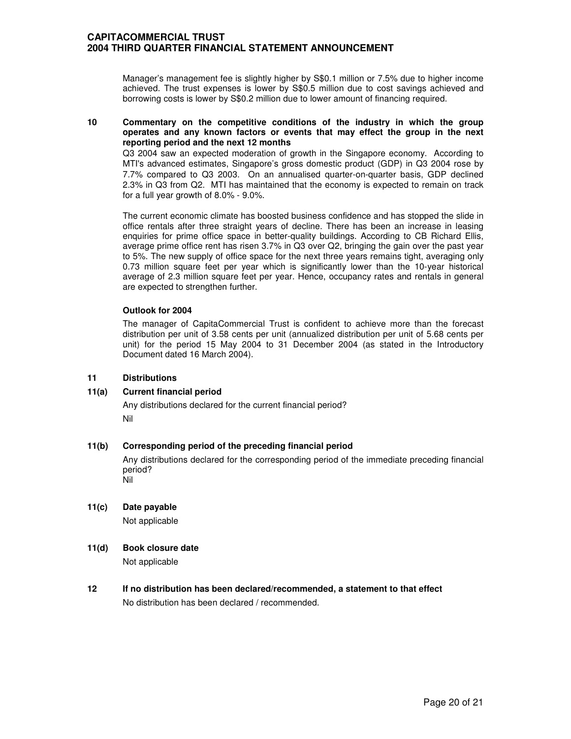Manager's management fee is slightly higher by S\$0.1 million or 7.5% due to higher income achieved. The trust expenses is lower by S\$0.5 million due to cost savings achieved and borrowing costs is lower by S\$0.2 million due to lower amount of financing required.

### **10 Commentary on the competitive conditions of the industry in which the group operates and any known factors or events that may effect the group in the next reporting period and the next 12 months**

Q3 2004 saw an expected moderation of growth in the Singapore economy. According to MTI's advanced estimates, Singapore's gross domestic product (GDP) in Q3 2004 rose by 7.7% compared to Q3 2003. On an annualised quarter-on-quarter basis, GDP declined 2.3% in Q3 from Q2. MTI has maintained that the economy is expected to remain on track for a full year growth of 8.0% - 9.0%.

The current economic climate has boosted business confidence and has stopped the slide in office rentals after three straight years of decline. There has been an increase in leasing enquiries for prime office space in better-quality buildings. According to CB Richard Ellis, average prime office rent has risen 3.7% in Q3 over Q2, bringing the gain over the past year to 5%. The new supply of office space for the next three years remains tight, averaging only 0.73 million square feet per year which is significantly lower than the 10-year historical average of 2.3 million square feet per year. Hence, occupancy rates and rentals in general are expected to strengthen further.

### **Outlook for 2004**

The manager of CapitaCommercial Trust is confident to achieve more than the forecast distribution per unit of 3.58 cents per unit (annualized distribution per unit of 5.68 cents per unit) for the period 15 May 2004 to 31 December 2004 (as stated in the Introductory Document dated 16 March 2004).

## **11 Distributions**

## **11(a) Current financial period**

Any distributions declared for the current financial period? Nil

## **11(b) Corresponding period of the preceding financial period**

Any distributions declared for the corresponding period of the immediate preceding financial period? Nil

**11(c) Date payable** Not applicable

## **11(d) Book closure date**

Not applicable

**12 If no distribution has been declared/recommended, a statement to that effect** No distribution has been declared / recommended.